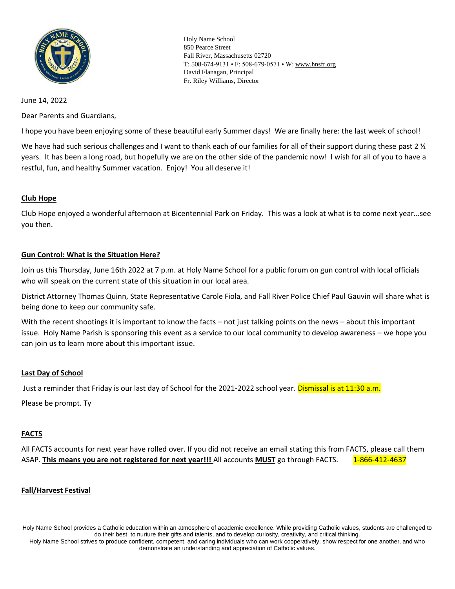

Holy Name School 850 Pearce Street Fall River, Massachusetts 02720 T: 508-674-9131 • F: 508-679-0571 • W[: www.hnsfr.org](http://www.hnsfr.org/)  David Flanagan, Principal Fr. Riley Williams, Director

## June 14, 2022

Dear Parents and Guardians,

I hope you have been enjoying some of these beautiful early Summer days! We are finally here: the last week of school!

We have had such serious challenges and I want to thank each of our families for all of their support during these past 2  $\frac{1}{2}$ years. It has been a long road, but hopefully we are on the other side of the pandemic now! I wish for all of you to have a restful, fun, and healthy Summer vacation. Enjoy! You all deserve it!

# **Club Hope**

Club Hope enjoyed a wonderful afternoon at Bicentennial Park on Friday. This was a look at what is to come next year...see you then.

#### **Gun Control: What is the Situation Here?**

Join us this Thursday, June 16th 2022 at 7 p.m. at Holy Name School for a public forum on gun control with local officials who will speak on the current state of this situation in our local area.

District Attorney Thomas Quinn, State Representative Carole Fiola, and Fall River Police Chief Paul Gauvin will share what is being done to keep our community safe.

With the recent shootings it is important to know the facts – not just talking points on the news – about this important issue. Holy Name Parish is sponsoring this event as a service to our local community to develop awareness – we hope you can join us to learn more about this important issue.

## **Last Day of School**

Just a reminder that Friday is our last day of School for the 2021-2022 school year. Dismissal is at 11:30 a.m.

Please be prompt. Ty

## **FACTS**

All FACTS accounts for next year have rolled over. If you did not receive an email stating this from FACTS, please call them ASAP. **This means you are not registered for next year!!!** All accounts **MUST** go through FACTS. 1-866-412-4637

#### **Fall/Harvest Festival**

Holy Name School provides a Catholic education within an atmosphere of academic excellence. While providing Catholic values, students are challenged to do their best, to nurture their gifts and talents, and to develop curiosity, creativity, and critical thinking.

Holy Name School strives to produce confident, competent, and caring individuals who can work cooperatively, show respect for one another, and who demonstrate an understanding and appreciation of Catholic values.